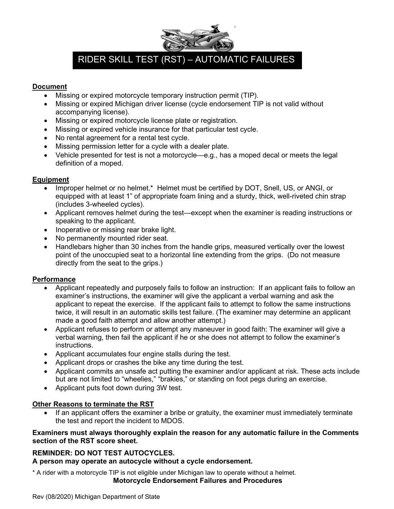

# RIDER SKILL TEST (RST) – AUTOMATIC FAILURES

### **Document**

- Missing or expired motorcycle temporary instruction permit (TIP).
- Missing or expired Michigan driver license (cycle endorsement TIP is not valid without accompanying license).
- Missing or expired motorcycle license plate or registration.
- Missing or expired vehicle insurance for that particular test cycle.
- No rental agreement for a rental test cycle.
- Missing permission letter for a cycle with a dealer plate.
- Vehicle presented for test is not a motorcycle—e.g., has a moped decal or meets the legal definition of a moped.

## **Equipment**

- Improper helmet or no helmet.\* Helmet must be certified by DOT, Snell, US, or ANGI, or equipped with at least 1" of appropriate foam lining and a sturdy, thick, well-riveted chin strap (includes 3-wheeled cycles).
- Applicant removes helmet during the test—except when the examiner is reading instructions or speaking to the applicant.
- Inoperative or missing rear brake light.
- No permanently mounted rider seat.
- Handlebars higher than 30 inches from the handle grips, measured vertically over the lowest point of the unoccupied seat to a horizontal line extending from the grips. (Do not measure directly from the seat to the grips.)

### **Performance**

- Applicant repeatedly and purposely fails to follow an instruction: If an applicant fails to follow an examiner's instructions, the examiner will give the applicant a verbal warning and ask the applicant to repeat the exercise. If the applicant fails to attempt to follow the same instructions twice, it will result in an automatic skills test failure. (The examiner may determine an applicant made a good faith attempt and allow another attempt.)
- Applicant refuses to perform or attempt any maneuver in good faith: The examiner will give a verbal warning, then fail the applicant if he or she does not attempt to follow the examiner's instructions.
- Applicant accumulates four engine stalls during the test.
- Applicant drops or crashes the bike any time during the test.
- Applicant commits an unsafe act putting the examiner and/or applicant at risk. These acts include but are not limited to "wheelies," "brakies," or standing on foot pegs during an exercise.
- Applicant puts foot down during 3W test.

## **Other Reasons to terminate the RST**

If an applicant offers the examiner a bribe or gratuity, the examiner must immediately terminate the test and report the incident to MDOS.

### **Examiners must always thoroughly explain the reason for any automatic failure in the Comments section of the RST score sheet.**

## **REMINDER: DO NOT TEST AUTOCYCLES.**

**A person may operate an autocycle without a cycle endorsement.**

\* A rider with a motorcycle TIP is not eligible under Michigan law to operate without a helmet. **Motorcycle Endorsement Failures and Procedures**